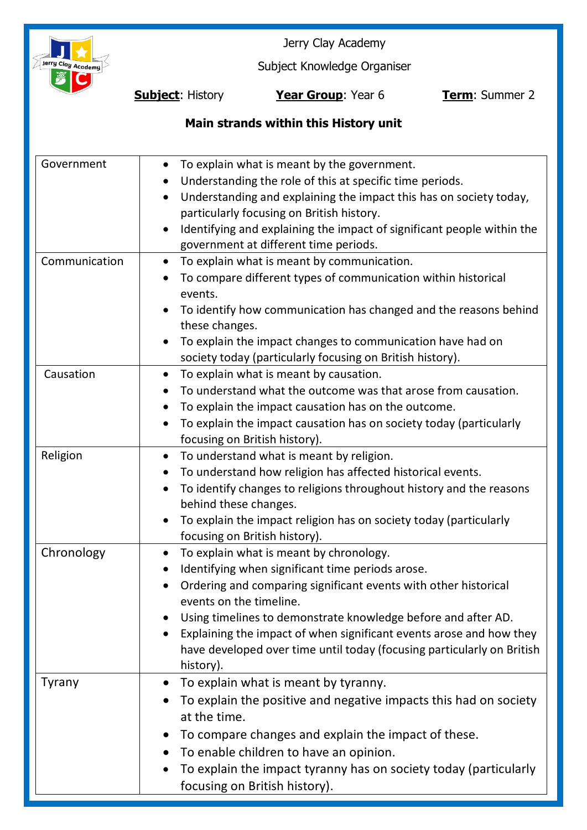

Jerry Clay Academy

Subject Knowledge Organiser

**Subject**: History **Year Group**: Year 6 **Term**: Summer 2

# **Main strands within this History unit**

| Government    | To explain what is meant by the government.<br>$\bullet$<br>Understanding the role of this at specific time periods.<br>Understanding and explaining the impact this has on society today,<br>$\bullet$<br>particularly focusing on British history.<br>Identifying and explaining the impact of significant people within the<br>government at different time periods.                                                               |
|---------------|---------------------------------------------------------------------------------------------------------------------------------------------------------------------------------------------------------------------------------------------------------------------------------------------------------------------------------------------------------------------------------------------------------------------------------------|
| Communication | To explain what is meant by communication.<br>$\bullet$<br>To compare different types of communication within historical<br>events.<br>To identify how communication has changed and the reasons behind<br>these changes.<br>To explain the impact changes to communication have had on                                                                                                                                               |
| Causation     | society today (particularly focusing on British history).<br>To explain what is meant by causation.<br>$\bullet$<br>To understand what the outcome was that arose from causation.<br>To explain the impact causation has on the outcome.<br>To explain the impact causation has on society today (particularly<br>focusing on British history).                                                                                       |
| Religion      | To understand what is meant by religion.<br>$\bullet$<br>To understand how religion has affected historical events.<br>$\bullet$<br>To identify changes to religions throughout history and the reasons<br>behind these changes.<br>To explain the impact religion has on society today (particularly<br>focusing on British history).                                                                                                |
| Chronology    | To explain what is meant by chronology.<br>$\bullet$<br>Identifying when significant time periods arose.<br>Ordering and comparing significant events with other historical<br>events on the timeline.<br>Using timelines to demonstrate knowledge before and after AD.<br>Explaining the impact of when significant events arose and how they<br>have developed over time until today (focusing particularly on British<br>history). |
| <b>Tyrany</b> | To explain what is meant by tyranny.<br>To explain the positive and negative impacts this had on society<br>at the time.<br>To compare changes and explain the impact of these.<br>To enable children to have an opinion.<br>To explain the impact tyranny has on society today (particularly<br>focusing on British history).                                                                                                        |